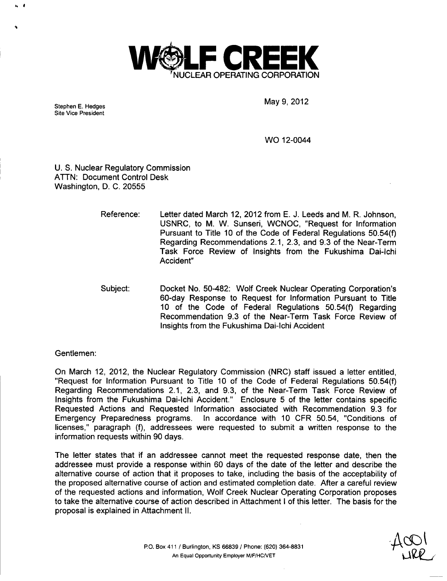

Site Vice President

Stephen E. Hedges May 9, 2012

WO 12-0044

U. S. Nuclear Regulatory Commission ATTN: Document Control Desk Washington, D. C. 20555

- Reference: Letter dated March 12, 2012 from E. J. Leeds and M. R. Johnson, USNRC, to M. W. Sunseri, WCNOC, "Request for Information Pursuant to Title 10 of the Code of Federal Regulations 50.54(f) Regarding Recommendations 2.1, 2.3, and 9.3 of the Near-Term Task Force Review of Insights from the Fukushima Dai-lchi Accident"
- Subject: Docket No. 50-482: Wolf Creek Nuclear Operating Corporation's 60-day Response to Request for Information Pursuant to Title 10 of the Code of Federal Regulations 50.54(f) Regarding Recommendation 9.3 of the Near-Term Task Force Review of Insights from the Fukushima Dai-lchi Accident

Gentlemen:

On March 12, 2012, the Nuclear Regulatory Commission (NRC) staff issued a letter entitled, "Request for Information Pursuant to Title 10 of the Code of Federal Regulations 50.54(f) Regarding Recommendations 2.1, 2.3, and 9.3, of the Near-Term Task Force Review of Insights from the Fukushima Dai-lchi Accident." Enclosure 5 of the letter contains specific Requested Actions and Requested Information associated with Recommendation 9.3 for Emergency Preparedness programs. In accordance with 10 CFR 50.54, "Conditions of licenses," paragraph (f), addressees were requested to submit a written response to the information requests within 90 days.

The letter states that if an addressee cannot meet the requested response date, then the addressee must provide a response within 60 days of the date of the letter and describe the alternative course of action that it proposes to take, including the basis of the acceptability of the proposed alternative course of action and estimated completion date. After a careful review of the requested actions and information, Wolf Creek Nuclear Operating Corporation proposes to take the alternative course of action described in Attachment I of this letter. The basis for the proposal is explained in Attachment **I1.**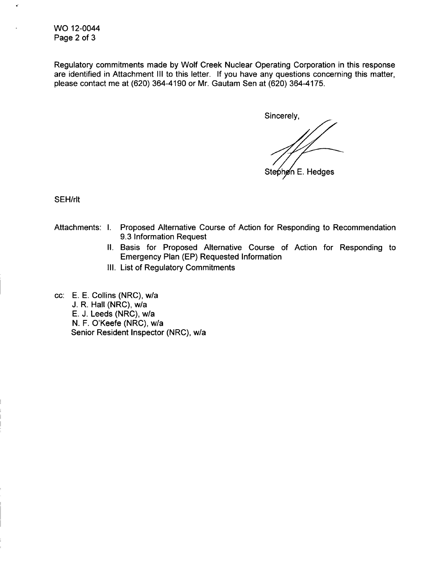WO 12-0044 Page 2 of 3

Regulatory commitments made by Wolf Creek Nuclear Operating Corporation in this response are identified in Attachment **III** to this letter. If you have any questions concerning this matter, please contact me at (620) 364-4190 or Mr. Gautam Sen at (620) 364-4175.

Sincerely, Stephen E. Hedges

SEH/rlt

- Attachments: I. Proposed Alternative Course of Action for Responding to Recommendation 9.3 Information Request
	- **I1.** Basis for Proposed Alternative Course of Action for Responding to Emergency Plan (EP) Requested Information
	- I1l. List of Regulatory Commitments
- cc: E. E. Collins (NRC), w/a J. R. Hall (NRC), w/a E. J. Leeds (NRC), w/a N. F. O'Keefe (NRC), w/a Senior Resident Inspector (NRC), w/a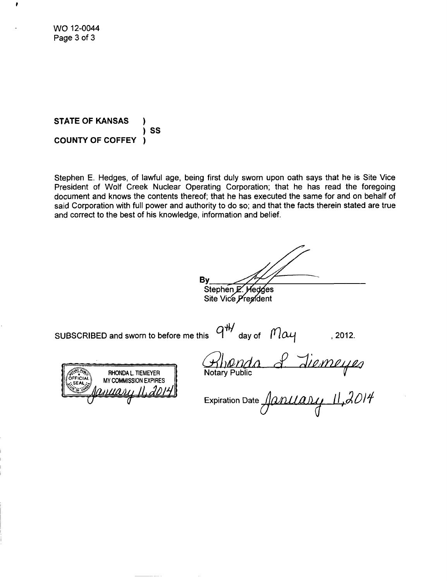WO 12-0044 Page 3 of 3

**STATE** OF **KANSAS** *)* SS *)* **COUNTY** OF COFFEY

Stephen E. Hedges, of lawful age, being first duly sworn upon oath says that he is Site Vice President of Wolf Creek Nuclear Operating Corporation; that he has read the foregoing document and knows the contents thereof; that he has executed the same for and on behalf of said Corporation with full power and authority to do so; and that the facts therein stated are true and correct to the best of his knowledge, information and belief.

By Stephen E. Hedges

Site Vice President

SUBSCRIBED and sworn to before me this  $\theta^{\sharp\sharp}$  day of  $\theta$   $\alpha$ 

RHONDA L. TIEMEYER **MY COMMISSION EXPIRES**  $\boldsymbol{\eta}$ 

Notary Public  $\mathcal{L}% _{M_{1},M_{2}}^{\prime\prime}(\theta)\equiv\mathcal{L}_{M_{1},M_{2}}^{\prime\prime}(\theta)$ 

Expiration Date J.•. *W/D/,W* 11J/, +00 O' *IJ*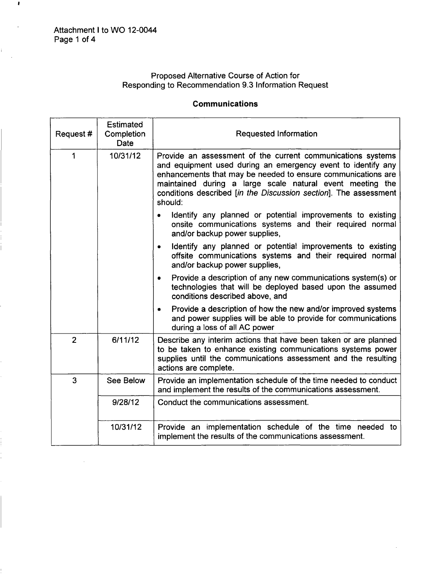$\hat{\mathcal{A}}$ 

 $\pmb{\imath}$ 

# Proposed Alternative Course of Action for Responding to Recommendation 9.3 Information Request

### Communications

| Request#       | Estimated<br>Completion<br>Date | Requested Information                                                                                                                                                                                                                                                                                                                   |
|----------------|---------------------------------|-----------------------------------------------------------------------------------------------------------------------------------------------------------------------------------------------------------------------------------------------------------------------------------------------------------------------------------------|
| 1              | 10/31/12                        | Provide an assessment of the current communications systems<br>and equipment used during an emergency event to identify any<br>enhancements that may be needed to ensure communications are<br>maintained during a large scale natural event meeting the<br>conditions described [in the Discussion section]. The assessment<br>should: |
|                |                                 | Identify any planned or potential improvements to existing<br>onsite communications systems and their required normal<br>and/or backup power supplies,                                                                                                                                                                                  |
|                |                                 | Identify any planned or potential improvements to existing<br>$\bullet$<br>offsite communications systems and their required normal<br>and/or backup power supplies,                                                                                                                                                                    |
|                |                                 | Provide a description of any new communications system(s) or<br>۰<br>technologies that will be deployed based upon the assumed<br>conditions described above, and                                                                                                                                                                       |
|                |                                 | Provide a description of how the new and/or improved systems<br>٠<br>and power supplies will be able to provide for communications<br>during a loss of all AC power                                                                                                                                                                     |
| $\overline{2}$ | 6/11/12                         | Describe any interim actions that have been taken or are planned<br>to be taken to enhance existing communications systems power<br>supplies until the communications assessment and the resulting<br>actions are complete.                                                                                                             |
| 3              | See Below                       | Provide an implementation schedule of the time needed to conduct<br>and implement the results of the communications assessment.                                                                                                                                                                                                         |
|                | 9/28/12                         | Conduct the communications assessment.                                                                                                                                                                                                                                                                                                  |
|                | 10/31/12                        | Provide an implementation schedule of the time needed to<br>implement the results of the communications assessment.                                                                                                                                                                                                                     |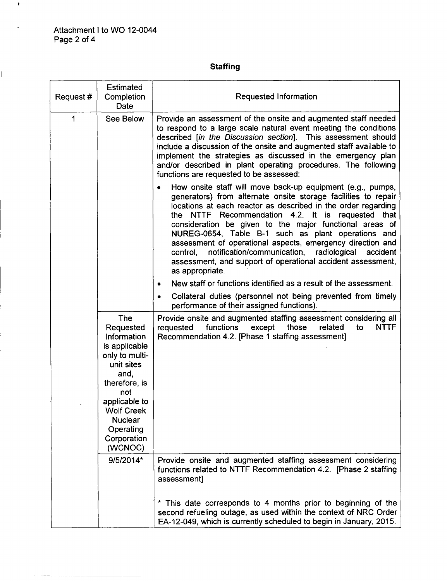$\bar{\omega}$ 

 $\pmb{\mathfrak{t}}$ 

## **Staffing**

| Request#    | <b>Estimated</b><br>Completion<br>Date                                                                                                                                                                          | Requested Information                                                                                                                                                                                                                                                                                                                                                                                                                                                                                                                                                                                |
|-------------|-----------------------------------------------------------------------------------------------------------------------------------------------------------------------------------------------------------------|------------------------------------------------------------------------------------------------------------------------------------------------------------------------------------------------------------------------------------------------------------------------------------------------------------------------------------------------------------------------------------------------------------------------------------------------------------------------------------------------------------------------------------------------------------------------------------------------------|
| $\mathbf 1$ | See Below                                                                                                                                                                                                       | Provide an assessment of the onsite and augmented staff needed<br>to respond to a large scale natural event meeting the conditions<br>described [in the Discussion section]. This assessment should<br>include a discussion of the onsite and augmented staff available to<br>implement the strategies as discussed in the emergency plan<br>and/or described in plant operating procedures. The following<br>functions are requested to be assessed:                                                                                                                                                |
|             |                                                                                                                                                                                                                 | How onsite staff will move back-up equipment (e.g., pumps,<br>$\bullet$<br>generators) from alternate onsite storage facilities to repair<br>locations at each reactor as described in the order regarding<br>the NTTF Recommendation 4.2. It is requested that<br>consideration be given to the major functional areas of<br>NUREG-0654, Table B-1 such as plant operations and<br>assessment of operational aspects, emergency direction and<br>notification/communication, radiological<br>control.<br>accident<br>assessment, and support of operational accident assessment,<br>as appropriate. |
|             |                                                                                                                                                                                                                 | New staff or functions identified as a result of the assessment.<br>٠<br>Collateral duties (personnel not being prevented from timely<br>performance of their assigned functions).                                                                                                                                                                                                                                                                                                                                                                                                                   |
|             | The<br>Requested<br>Information<br>is applicable<br>only to multi-<br>unit sites<br>and,<br>therefore, is<br>not<br>applicable to<br><b>Wolf Creek</b><br><b>Nuclear</b><br>Operating<br>Corporation<br>(WCNOC) | Provide onsite and augmented staffing assessment considering all<br>functions<br>those<br>related<br><b>NTTF</b><br>requested<br>except<br>to<br>Recommendation 4.2. [Phase 1 staffing assessment]                                                                                                                                                                                                                                                                                                                                                                                                   |
|             | 9/5/2014*                                                                                                                                                                                                       | Provide onsite and augmented staffing assessment considering<br>functions related to NTTF Recommendation 4.2. [Phase 2 staffing<br>assessment]                                                                                                                                                                                                                                                                                                                                                                                                                                                       |
|             |                                                                                                                                                                                                                 | * This date corresponds to 4 months prior to beginning of the<br>second refueling outage, as used within the context of NRC Order<br>EA-12-049, which is currently scheduled to begin in January, 2015.                                                                                                                                                                                                                                                                                                                                                                                              |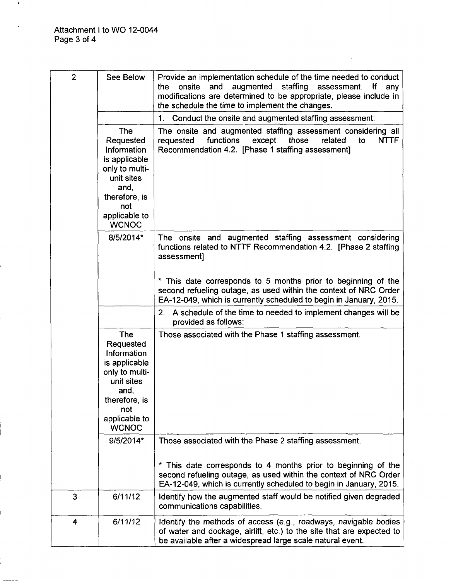$\mathbf{I}$ 

Ī.

| $\overline{2}$ | See Below                                                                                                                                                | Provide an implementation schedule of the time needed to conduct<br>staffing<br>onsite<br>and<br>augmented<br>the<br>assessment.<br>lf<br>any<br>modifications are determined to be appropriate, please include in<br>the schedule the time to implement the changes. |  |
|----------------|----------------------------------------------------------------------------------------------------------------------------------------------------------|-----------------------------------------------------------------------------------------------------------------------------------------------------------------------------------------------------------------------------------------------------------------------|--|
|                |                                                                                                                                                          | Conduct the onsite and augmented staffing assessment:<br>1.                                                                                                                                                                                                           |  |
|                | <b>The</b><br>Requested<br>Information<br>is applicable<br>only to multi-<br>unit sites<br>and,<br>therefore, is<br>not<br>applicable to<br><b>WCNOC</b> | The onsite and augmented staffing assessment considering all<br>functions<br>except<br>those<br>related<br><b>NTTF</b><br>requested<br>to<br>Recommendation 4.2. [Phase 1 staffing assessment]                                                                        |  |
|                | 8/5/2014*                                                                                                                                                | The onsite and augmented staffing assessment considering<br>functions related to NTTF Recommendation 4.2. [Phase 2 staffing<br>assessment]                                                                                                                            |  |
|                |                                                                                                                                                          | * This date corresponds to 5 months prior to beginning of the<br>second refueling outage, as used within the context of NRC Order<br>EA-12-049, which is currently scheduled to begin in January, 2015.                                                               |  |
|                |                                                                                                                                                          | 2.<br>A schedule of the time to needed to implement changes will be<br>provided as follows:                                                                                                                                                                           |  |
|                | <b>The</b><br>Requested<br>Information<br>is applicable<br>only to multi-<br>unit sites<br>and,<br>therefore, is<br>not<br>applicable to<br><b>WCNOC</b> | Those associated with the Phase 1 staffing assessment.                                                                                                                                                                                                                |  |
|                | 9/5/2014*                                                                                                                                                | Those associated with the Phase 2 staffing assessment.                                                                                                                                                                                                                |  |
|                |                                                                                                                                                          | * This date corresponds to 4 months prior to beginning of the<br>second refueling outage, as used within the context of NRC Order<br>EA-12-049, which is currently scheduled to begin in January, 2015.                                                               |  |
| 3              | 6/11/12                                                                                                                                                  | Identify how the augmented staff would be notified given degraded<br>communications capabilities.                                                                                                                                                                     |  |
| 4              | 6/11/12                                                                                                                                                  | Identify the methods of access (e.g., roadways, navigable bodies<br>of water and dockage, airlift, etc.) to the site that are expected to<br>be available after a widespread large scale natural event.                                                               |  |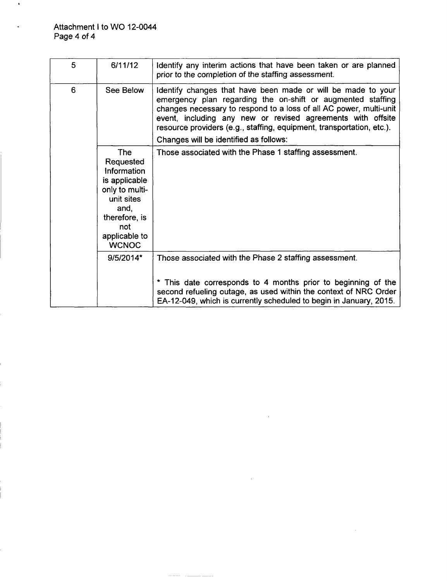$\ddot{\phantom{a}}$ 

| 5 | 6/11/12                                                                                                                                                         | Identify any interim actions that have been taken or are planned<br>prior to the completion of the staffing assessment.                                                                                                                                                                                                                                                             |
|---|-----------------------------------------------------------------------------------------------------------------------------------------------------------------|-------------------------------------------------------------------------------------------------------------------------------------------------------------------------------------------------------------------------------------------------------------------------------------------------------------------------------------------------------------------------------------|
| 6 | See Below                                                                                                                                                       | Identify changes that have been made or will be made to your<br>emergency plan regarding the on-shift or augmented staffing<br>changes necessary to respond to a loss of all AC power, multi-unit<br>event, including any new or revised agreements with offsite<br>resource providers (e.g., staffing, equipment, transportation, etc.).<br>Changes will be identified as follows: |
|   | <b>The</b><br>Requested<br><b>Information</b><br>is applicable<br>only to multi-<br>unit sites<br>and.<br>therefore, is<br>not<br>applicable to<br><b>WCNOC</b> | Those associated with the Phase 1 staffing assessment.                                                                                                                                                                                                                                                                                                                              |
|   | 9/5/2014*                                                                                                                                                       | Those associated with the Phase 2 staffing assessment.                                                                                                                                                                                                                                                                                                                              |
|   |                                                                                                                                                                 | * This date corresponds to 4 months prior to beginning of the<br>second refueling outage, as used within the context of NRC Order<br>EA-12-049, which is currently scheduled to begin in January, 2015.                                                                                                                                                                             |

. . . . . . ÷,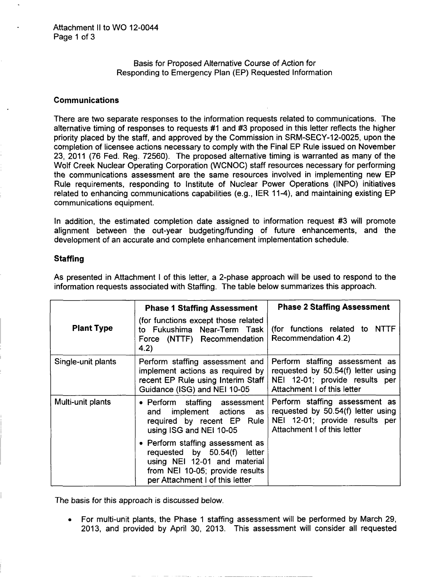Basis for Proposed Alternative Course of Action for Responding to Emergency Plan (EP) Requested Information

#### Communications

There are two separate responses to the information requests related to communications. The alternative timing of responses to requests #1 and #3 proposed in this letter reflects the higher priority placed by the staff, and approved by the Commission in SRM-SECY-12-0025, upon the completion of licensee actions necessary to comply with the Final EP Rule issued on November 23, 2011 (76 Fed. Reg. 72560). The proposed alternative timing is warranted as many of the Wolf Creek Nuclear Operating Corporation (WCNOC) staff resources necessary for performing the communications assessment are the same resources involved in implementing new EP Rule requirements, responding to Institute of Nuclear Power Operations (INPO) initiatives related to enhancing communications capabilities (e.g., IER 11-4), and maintaining existing EP communications equipment.

In addition, the estimated completion date assigned to information request #3 will promote alignment between the out-year budgeting/funding of future enhancements, and the development of an accurate and complete enhancement implementation schedule.

#### **Staffing**

| <b>Plant Type</b>  | <b>Phase 1 Staffing Assessment</b><br>(for functions except those related<br>to Fukushima Near-Term Task<br>Force (NTTF) Recommendation<br>4.2)                             | <b>Phase 2 Staffing Assessment</b><br>(for functions related to NTTF<br>Recommendation 4.2)                                           |
|--------------------|-----------------------------------------------------------------------------------------------------------------------------------------------------------------------------|---------------------------------------------------------------------------------------------------------------------------------------|
| Single-unit plants | Perform staffing assessment and<br>implement actions as required by<br>recent EP Rule using Interim Staff<br>Guidance (ISG) and NEI 10-05                                   | Perform staffing assessment as<br>requested by 50.54(f) letter using<br>NEI 12-01; provide results per<br>Attachment I of this letter |
| Multi-unit plants  | • Perform staffing assessment<br>implement actions<br>and<br>as<br>required by recent EP Rule<br>using ISG and NEI 10-05                                                    | Perform staffing assessment as<br>requested by 50.54(f) letter using<br>NEI 12-01; provide results per<br>Attachment I of this letter |
|                    | • Perform staffing assessment as<br>requested by $50.54(f)$<br>letter<br>using NEI 12-01 and material<br>from NEI 10-05; provide results<br>per Attachment I of this letter |                                                                                                                                       |

As presented in Attachment I of this letter, a 2-phase approach will be used to respond to the information requests associated with Staffing. The table below summarizes this approach.

The basis for this approach is discussed below.

For multi-unit plants, the Phase 1 staffing assessment will be performed by March 29, 2013, and provided by April 30, 2013. This assessment will consider all requested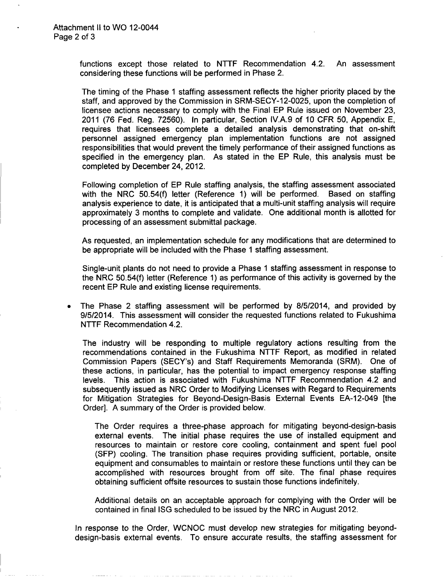functions except those related to NTTF Recommendation 4.2. An assessment considering these functions will be performed in Phase 2.

The timing of the Phase 1 staffing assessment reflects the higher priority placed by the staff, and approved by the Commission in SRM-SECY-12-0025, upon the completion of licensee actions necessary to comply with the Final EP Rule issued on November 23, 2011 (76 Fed. Reg. 72560). In particular, Section IV.A.9 of 10 CFR 50, Appendix E, requires that licensees complete a detailed analysis demonstrating that on-shift personnel assigned emergency plan implementation functions are not assigned responsibilities that would prevent the timely performance of their assigned functions as specified in the emergency plan. As stated in the EP Rule, this analysis must be completed by December 24, 2012.

Following completion of EP Rule staffing analysis, the staffing assessment associated with the NRC 50.54(f) letter (Reference 1) will be performed. Based on staffing analysis experience to date, it is anticipated that a multi-unit staffing analysis will require approximately 3 months to complete and validate. One additional month is allotted for processing of an assessment submittal package.

As requested, an implementation schedule for any modifications that are determined to be appropriate will be included with the Phase 1 staffing assessment.

Single-unit plants do not need to provide a Phase **1** staffing assessment in response to the NRC 50.54(f) letter (Reference 1) as performance of this activity is governed by the recent EP Rule and existing license requirements.

The Phase 2 staffing assessment will be performed by 8/5/2014, and provided by  $\bullet$ 9/5/2014. This assessment will consider the requested functions related to Fukushima NTTF Recommendation 4.2.

The industry will be responding to multiple regulatory actions resulting from the recommendations contained in the Fukushima NTTF Report, as modified in related Commission Papers (SECY's) and Staff Requirements Memoranda (SRM). One of these actions, in particular, has the potential to impact emergency response staffing levels. This action is associated with Fukushima NTTF Recommendation 4.2 and subsequently issued as NRC Order to Modifying Licenses with Regard to Requirements for Mitigation Strategies for Beyond-Design-Basis External Events EA-12-049 [the Order]. A summary of the Order is provided below.

The Order requires a three-phase approach for mitigating beyond-design-basis external events. The initial phase requires the use of installed equipment and resources to maintain or restore core cooling, containment and spent fuel pool (SFP) cooling. The transition phase requires providing sufficient, portable, onsite equipment and consumables to maintain or restore these functions until they can be accomplished with resources brought from off site. The final phase requires obtaining sufficient offsite resources to sustain those functions indefinitely.

Additional details on an acceptable approach for complying with the Order will be contained in final ISG scheduled to be issued by the NRC in August 2012.

In response to the Order, WCNOC must develop new strategies for mitigating beyonddesign-basis external events. To ensure accurate results, the staffing assessment for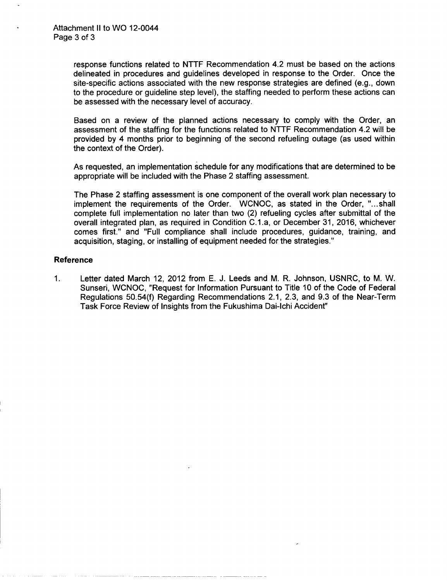response functions related to NTTF Recommendation 4.2 must be based on the actions delineated in procedures and guidelines developed in response to the Order. Once the site-specific actions associated with the new response strategies are defined (e.g., down to the procedure or guideline step level), the staffing needed to perform these actions can be assessed with the necessary level of accuracy.

Based on a review of the planned actions necessary to comply with the Order, an assessment of the staffing for the functions related to NTTF Recommendation 4.2 will be provided by 4 months prior to beginning of the second refueling outage (as used within the context of the Order).

As requested, an implementation schedule for any modifications that are determined to be appropriate will be included with the Phase 2 staffing assessment.

The Phase 2 staffing assessment is one component of the overall work plan necessary to implement the requirements of the Order. WCNOC, as stated in the Order, "...shall complete full implementation no later than two (2) refueling cycles after submittal of the overall integrated plan, as required in Condition C.1.a, or December 31, 2016, whichever comes first." and "Full compliance shall include procedures, guidance, training, and acquisition, staging, or installing of equipment needed for the strategies."

#### Reference

**1.** Letter dated March 12, 2012 from E. J. Leeds and M. R. Johnson, USNRC, to M. W. Sunseri, WCNOC, "Request for Information Pursuant to Title 10 of the Code of Federal Regulations 50.54(f) Regarding Recommendations 2.1, 2.3, and 9.3 of the Near-Term Task Force Review of Insights from the Fukushima Dai-lchi Accident"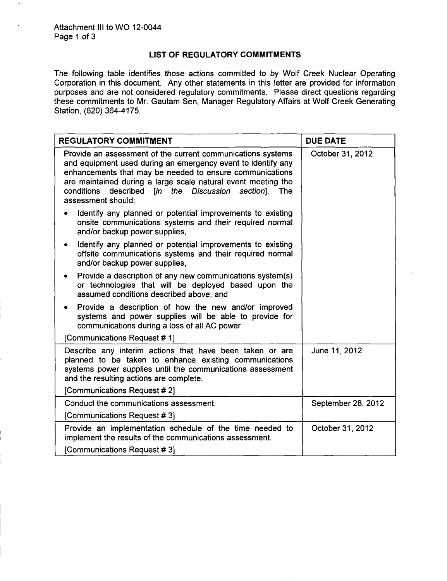#### LIST OF REGULATORY COMMITMENTS

The following table identifies those actions committed to by Wolf Creek Nuclear Operating Corporation in this document. Any other statements in this letter are provided for information purposes and are not considered regulatory commitments. Please direct questions regarding these commitments to Mr. Gautam Sen, Manager Regulatory Affairs at Wolf Creek Generating Station, (620) 364-4175.

| <b>REGULATORY COMMITMENT</b>                                                                                                                                                                                                                                                                                                                  | <b>DUE DATE</b>    |  |
|-----------------------------------------------------------------------------------------------------------------------------------------------------------------------------------------------------------------------------------------------------------------------------------------------------------------------------------------------|--------------------|--|
| Provide an assessment of the current communications systems<br>and equipment used during an emergency event to identify any<br>enhancements that may be needed to ensure communications<br>are maintained during a large scale natural event meeting the<br>described<br>conditions<br>[in the Discussion section]. The<br>assessment should: | October 31, 2012   |  |
| Identify any planned or potential improvements to existing<br>onsite communications systems and their required normal<br>and/or backup power supplies,                                                                                                                                                                                        |                    |  |
| Identify any planned or potential improvements to existing<br>offsite communications systems and their required normal<br>and/or backup power supplies,                                                                                                                                                                                       |                    |  |
| Provide a description of any new communications system(s)<br>or technologies that will be deployed based upon the<br>assumed conditions described above, and                                                                                                                                                                                  |                    |  |
| Provide a description of how the new and/or improved<br>systems and power supplies will be able to provide for<br>communications during a loss of all AC power                                                                                                                                                                                |                    |  |
| [Communications Request # 1]                                                                                                                                                                                                                                                                                                                  |                    |  |
| Describe any interim actions that have been taken or are<br>planned to be taken to enhance existing communications<br>systems power supplies until the communications assessment<br>and the resulting actions are complete.                                                                                                                   | June 11, 2012      |  |
| [Communications Request # 2]                                                                                                                                                                                                                                                                                                                  |                    |  |
| Conduct the communications assessment.                                                                                                                                                                                                                                                                                                        | September 28, 2012 |  |
| [Communications Request #3]                                                                                                                                                                                                                                                                                                                   |                    |  |
| Provide an implementation schedule of the time needed to<br>implement the results of the communications assessment.                                                                                                                                                                                                                           | October 31, 2012   |  |
| [Communications Request #3]                                                                                                                                                                                                                                                                                                                   |                    |  |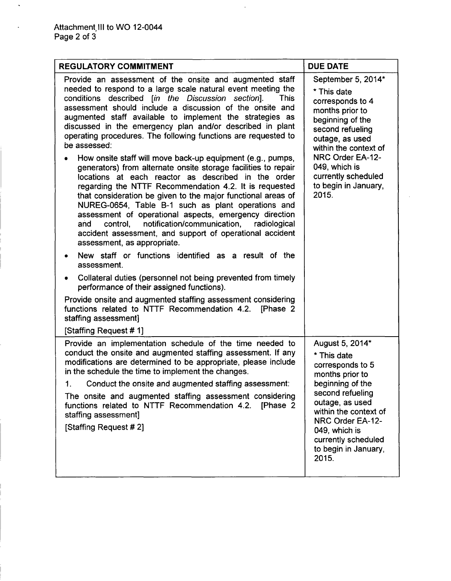k.

| <b>REGULATORY COMMITMENT</b>                                                                                                                                                                                                                                                                                                                                                                                                                                                                                                                                                                                                                                                                                                                                                                                                                                                                                                                                                                                                                                                                                                                                                                                                                                                                                                                                                                                                                            | <b>DUE DATE</b>                                                                                                                                                                                                                                           |
|---------------------------------------------------------------------------------------------------------------------------------------------------------------------------------------------------------------------------------------------------------------------------------------------------------------------------------------------------------------------------------------------------------------------------------------------------------------------------------------------------------------------------------------------------------------------------------------------------------------------------------------------------------------------------------------------------------------------------------------------------------------------------------------------------------------------------------------------------------------------------------------------------------------------------------------------------------------------------------------------------------------------------------------------------------------------------------------------------------------------------------------------------------------------------------------------------------------------------------------------------------------------------------------------------------------------------------------------------------------------------------------------------------------------------------------------------------|-----------------------------------------------------------------------------------------------------------------------------------------------------------------------------------------------------------------------------------------------------------|
| Provide an assessment of the onsite and augmented staff<br>needed to respond to a large scale natural event meeting the<br>conditions described [in the Discussion section].<br><b>This</b><br>assessment should include a discussion of the onsite and<br>augmented staff available to implement the strategies as<br>discussed in the emergency plan and/or described in plant<br>operating procedures. The following functions are requested to<br>be assessed:<br>How onsite staff will move back-up equipment (e.g., pumps,<br>٠<br>generators) from alternate onsite storage facilities to repair<br>locations at each reactor as described in the order<br>regarding the NTTF Recommendation 4.2. It is requested<br>that consideration be given to the major functional areas of<br>NUREG-0654, Table B-1 such as plant operations and<br>assessment of operational aspects, emergency direction<br>notification/communication,<br>radiological<br>and<br>control,<br>accident assessment, and support of operational accident<br>assessment, as appropriate.<br>New staff or functions identified as a result of the<br>٠<br>assessment.<br>Collateral duties (personnel not being prevented from timely<br>$\bullet$<br>performance of their assigned functions).<br>Provide onsite and augmented staffing assessment considering<br>functions related to NTTF Recommendation 4.2. [Phase 2<br>staffing assessment]<br>[Staffing Request # 1] | September 5, 2014*<br>* This date<br>corresponds to 4<br>months prior to<br>beginning of the<br>second refueling<br>outage, as used<br>within the context of<br>NRC Order EA-12-<br>049, which is<br>currently scheduled<br>to begin in January,<br>2015. |
| Provide an implementation schedule of the time needed to<br>conduct the onsite and augmented staffing assessment. If any<br>modifications are determined to be appropriate, please include<br>in the schedule the time to implement the changes.<br>Conduct the onsite and augmented staffing assessment:<br>1.<br>The onsite and augmented staffing assessment considering<br>functions related to NTTF Recommendation 4.2. [Phase 2<br>staffing assessment]<br>[Staffing Request #2]                                                                                                                                                                                                                                                                                                                                                                                                                                                                                                                                                                                                                                                                                                                                                                                                                                                                                                                                                                  | August 5, 2014*<br>* This date<br>corresponds to 5<br>months prior to<br>beginning of the<br>second refueling<br>outage, as used<br>within the context of<br>NRC Order EA-12-<br>049, which is<br>currently scheduled<br>to begin in January,<br>2015.    |